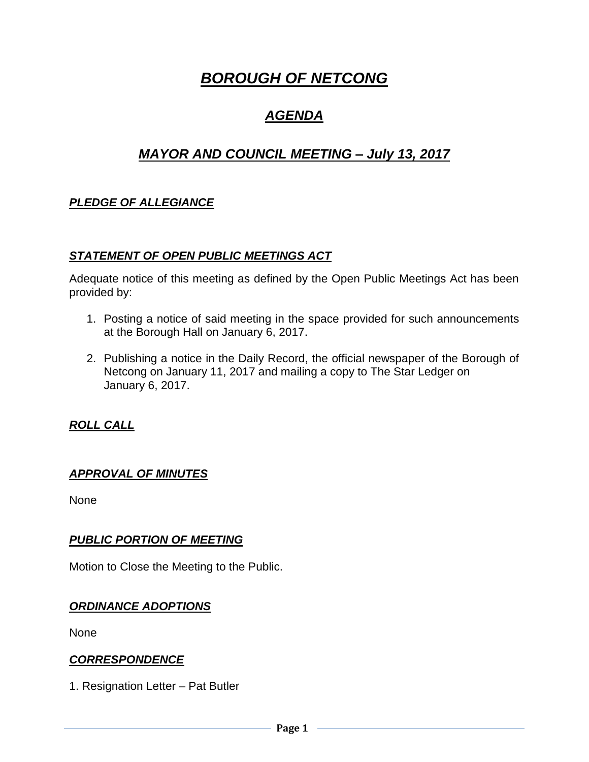# *BOROUGH OF NETCONG*

## *AGENDA*

## *MAYOR AND COUNCIL MEETING – July 13, 2017*

## *PLEDGE OF ALLEGIANCE*

#### *STATEMENT OF OPEN PUBLIC MEETINGS ACT*

Adequate notice of this meeting as defined by the Open Public Meetings Act has been provided by:

- 1. Posting a notice of said meeting in the space provided for such announcements at the Borough Hall on January 6, 2017.
- 2. Publishing a notice in the Daily Record, the official newspaper of the Borough of Netcong on January 11, 2017 and mailing a copy to The Star Ledger on January 6, 2017.

## *ROLL CALL*

#### *APPROVAL OF MINUTES*

None

#### *PUBLIC PORTION OF MEETING*

Motion to Close the Meeting to the Public.

#### *ORDINANCE ADOPTIONS*

None

#### *CORRESPONDENCE*

1. Resignation Letter – Pat Butler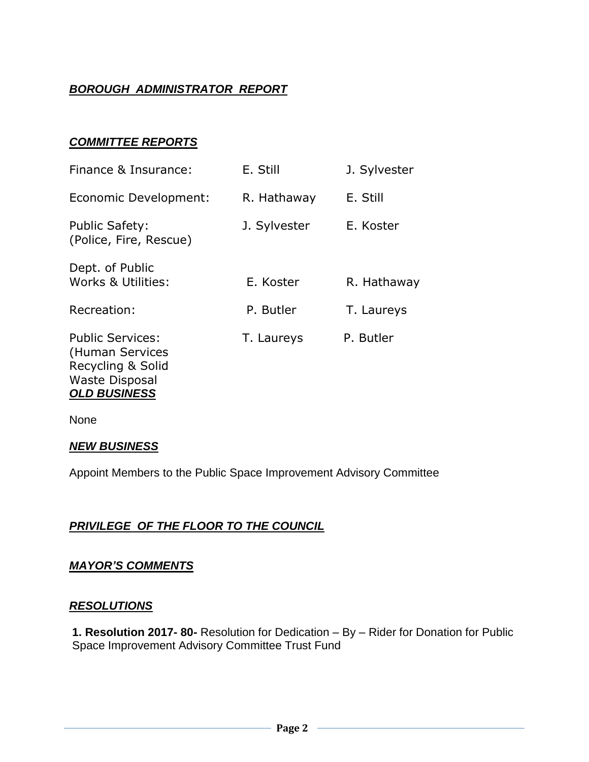## *BOROUGH ADMINISTRATOR REPORT*

## *COMMITTEE REPORTS*

| Finance & Insurance:                                                                                            | E. Still     | J. Sylvester |
|-----------------------------------------------------------------------------------------------------------------|--------------|--------------|
| Economic Development:                                                                                           | R. Hathaway  | E. Still     |
| <b>Public Safety:</b><br>(Police, Fire, Rescue)                                                                 | J. Sylvester | E. Koster    |
| Dept. of Public<br>Works & Utilities:                                                                           | E. Koster    | R. Hathaway  |
| Recreation:                                                                                                     | P. Butler    | T. Laureys   |
| <b>Public Services:</b><br>(Human Services<br>Recycling & Solid<br><b>Waste Disposal</b><br><b>OLD BUSINESS</b> | T. Laureys   | P. Butler    |

None

#### *NEW BUSINESS*

Appoint Members to the Public Space Improvement Advisory Committee

#### *PRIVILEGE OF THE FLOOR TO THE COUNCIL*

#### *MAYOR'S COMMENTS*

#### *RESOLUTIONS*

**1. Resolution 2017- 80-** Resolution for Dedication – By – Rider for Donation for Public Space Improvement Advisory Committee Trust Fund